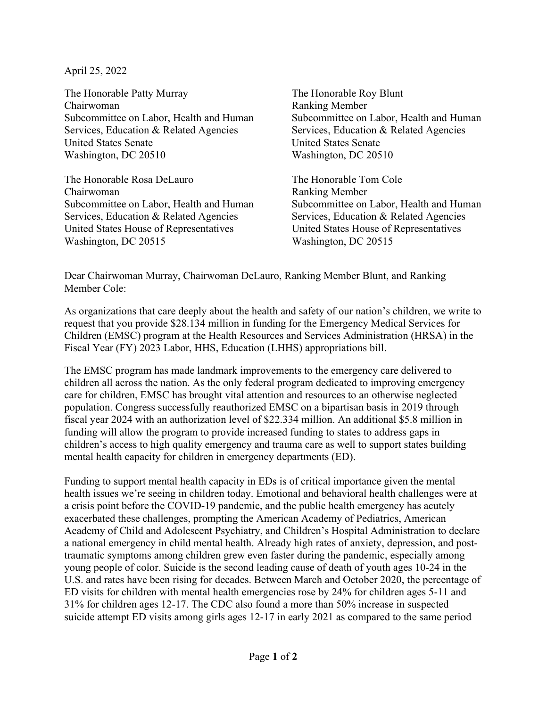April 25, 2022

The Honorable Patty Murray The Honorable Roy Blunt Chairwoman Ranking Member Subcommittee on Labor, Health and Human Subcommittee on Labor, Health and Human Services, Education & Related Agencies Services, Education & Related Agencies United States Senate United States Senate Washington, DC 20510 Washington, DC 20510

The Honorable Rosa DeLauro The Honorable Tom Cole Chairwoman Ranking Member Subcommittee on Labor, Health and Human Subcommittee on Labor, Health and Human Services, Education & Related Agencies Services, Education & Related Agencies United States House of Representatives United States House of Representatives Washington, DC 20515 Washington, DC 20515

Dear Chairwoman Murray, Chairwoman DeLauro, Ranking Member Blunt, and Ranking Member Cole:

As organizations that care deeply about the health and safety of our nation's children, we write to request that you provide \$28.134 million in funding for the Emergency Medical Services for Children (EMSC) program at the Health Resources and Services Administration (HRSA) in the Fiscal Year (FY) 2023 Labor, HHS, Education (LHHS) appropriations bill.

The EMSC program has made landmark improvements to the emergency care delivered to children all across the nation. As the only federal program dedicated to improving emergency care for children, EMSC has brought vital attention and resources to an otherwise neglected population. Congress successfully reauthorized EMSC on a bipartisan basis in 2019 through fiscal year 2024 with an authorization level of \$22.334 million. An additional \$5.8 million in funding will allow the program to provide increased funding to states to address gaps in children's access to high quality emergency and trauma care as well to support states building mental health capacity for children in emergency departments (ED).

Funding to support mental health capacity in EDs is of critical importance given the mental health issues we're seeing in children today. Emotional and behavioral health challenges were at a crisis point before the COVID-19 pandemic, and the public health emergency has acutely exacerbated these challenges, prompting the American Academy of Pediatrics, American Academy of Child and Adolescent Psychiatry, and Children's Hospital Administration to declare a national emergency in child mental health. Already high rates of anxiety, depression, and posttraumatic symptoms among children grew even faster during the pandemic, especially among young people of color. Suicide is the second leading cause of death of youth ages 10-24 in the U.S. and rates have been rising for decades. Between March and October 2020, the percentage of ED visits for children with mental health emergencies rose by 24% for children ages 5-11 and 31% for children ages 12-17. The CDC also found a more than 50% increase in suspected suicide attempt ED visits among girls ages 12-17 in early 2021 as compared to the same period